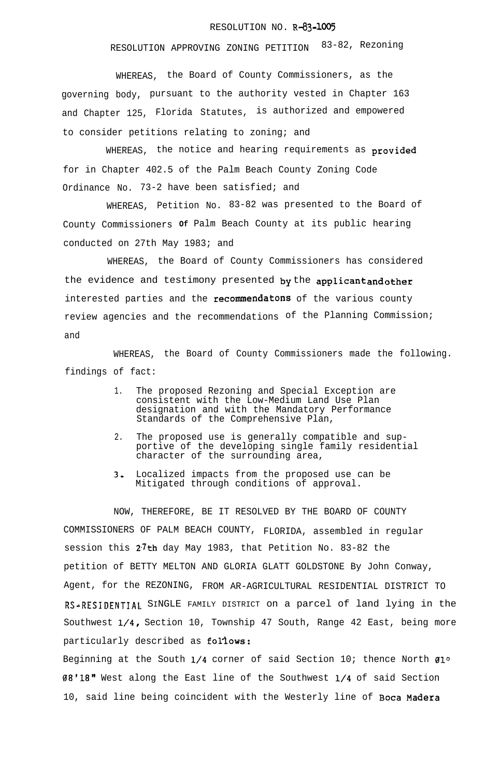## RESOLUTION NO. R-83-1005

## RESOLUTION APPROVING ZONING PETITION 83-82, Rezoning

WHEREAS, the Board of County Commissioners, as the governing body, pursuant to the authority vested in Chapter 163 and Chapter 125, Florida Statutes, is authorized and empowered to consider petitions relating to zoning; and

WHEREAS, the notice and hearing requirements as provided for in Chapter 402.5 of the Palm Beach County Zoning Code Ordinance No. 73-2 have been satisfied; and

WHEREAS, Petition No. 83-82 was presented to the Board of County Commissioners **Of** Palm Beach County at its public hearing conducted on 27th May 1983; and

WHEREAS, the Board of County Commissioners has considered the evidence and testimony presented by the applicant and other interested parties and the recommendatons of the various county review agencies and the recommendations of the Planning Commission; and

WHEREAS, the Board of County Commissioners made the following. findings of fact:

- 1. The proposed Rezoning and Special Exception are consistent with the Low-Medium Land Use Plan designation and with the Mandatory Performance Standards of the Comprehensive Plan,
- 2. The proposed use is generally compatible and supportive of the developing single family residential character of the surrounding area,
- 3, Localized impacts from the proposed use can be Mitigated through conditions of approval.

NOW, THEREFORE, BE IT RESOLVED BY THE BOARD OF COUNTY COMMISSIONERS OF PALM BEACH COUNTY, FLORIDA, assembled in regular session this  $2^7$ th day May 1983, that Petition No. 83-82 the petition of BETTY MELTON AND GLORIA GLATT GOLDSTONE By John Conway, Agent, for the REZONING, FROM AR-AGRICULTURAL RESIDENTIAL DISTRICT TO RS~RESIDENTIAL. SINGLE FAMILY DISTRICT on a parcel of land lying in the Southwest l/4, Section 10, Township 47 South, Range 42 East, being more particularly described as follows:

Beginning at the South  $1/4$  corner of said Section 10; thence North  $01^{\circ}$ 08'18" West along the East line of the Southwest l/4 of said Section 10, said line being coincident with the Westerly line of Boca Madera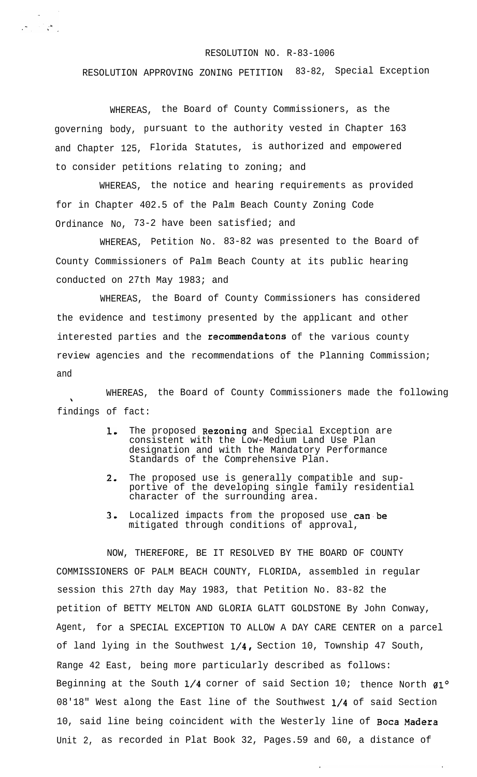## RESOLUTION NO. R-83-1006

## RESOLUTION APPROVING ZONING PETITION 83-82, Special Exception

WHEREAS, the Board of County Commissioners, as the governing body, pursuant to the authority vested in Chapter 163 and Chapter 125, Florida Statutes, is authorized and empowered to consider petitions relating to zoning; and

 $\mathcal{F}_{\mathcal{F}}$  , where  $\mathcal{F}_{\mathcal{F}}$ 

WHEREAS, the notice and hearing requirements as provided for in Chapter 402.5 of the Palm Beach County Zoning Code Ordinance No, 73-2 have been satisfied; and

WHEREAS, Petition No. 83-82 was presented to the Board of County Commissioners of Palm Beach County at its public hearing conducted on 27th May 1983; and

WHEREAS, the Board of County Commissioners has considered the evidence and testimony presented by the applicant and other interested parties and the recommendatons of the various county review agencies and the recommendations of the Planning Commission; and

WHEREAS, the Board of County Commissioners made the following findings of fact:

- 1. The proposed **Rezoning** and Special Exception are consistent with the Low-Medium Land Use Plan designation and with the Mandatory Performance Standards of the Comprehensive Plan.
- 2. The proposed use is generally compatible and supportive of the developing single family residential character of the surrounding area.
- 3. Localized impacts from the proposed use can be mitigated through conditions of approval,

NOW, THEREFORE, BE IT RESOLVED BY THE BOARD OF COUNTY COMMISSIONERS OF PALM BEACH COUNTY, FLORIDA, assembled in regular session this 27th day May 1983, that Petition No. 83-82 the petition of BETTY MELTON AND GLORIA GLATT GOLDSTONE By John Conway, Agent, for a SPECIAL EXCEPTION TO ALLOW A DAY CARE CENTER on a parcel of land lying in the Southwest 1/4, Section 10, Township 47 South, Range 42 East, being more particularly described as follows: Beginning at the South  $1/4$  corner of said Section 10; thence North  $g1^{\circ}$ 08'18" West along the East line of the Southwest l/4 of said Section 10, said line being coincident with the Westerly line of Boca Madera Unit 2, as recorded in Plat Book 32, Pages.59 and 60, a distance of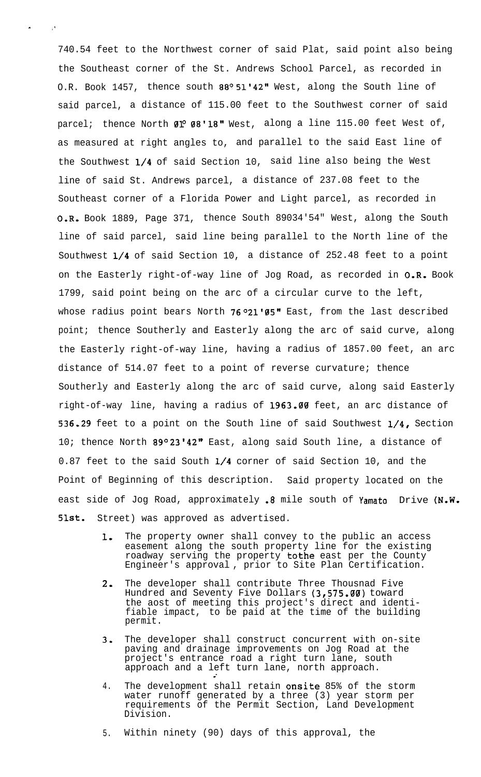740.54 feet to the Northwest corner of said Plat, said point also being the Southeast corner of the St. Andrews School Parcel, as recorded in O.R. Book 1457, thence south 88º 51'42" West, along the South line of said parcel, a distance of 115.00 feet to the Southwest corner of said parcel; thence North  $01^{\circ}$   $08^{\prime}$  18" West, along a line 115.00 feet West of, as measured at right angles to, and parallel to the said East line of the Southwest l/4 of said Section 10, said line also being the West line of said St. Andrews parcel, a distance of 237.08 feet to the Southeast corner of a Florida Power and Light parcel, as recorded in O.R. Book 1889, Page 371, thence South 89034'54" West, along the South line of said parcel, said line being parallel to the North line of the Southwest l/4 of said Section 10, a distance of 252.48 feet to a point on the Easterly right-of-way line of Jog Road, as recorded in 0-R. Book 1799, said point being on the arc of a circular curve to the left, whose radius point bears North 76°21'05" East, from the last described point; thence Southerly and Easterly along the arc of said curve, along the Easterly right-of-way line, having a radius of 1857.00 feet, an arc distance of 514.07 feet to a point of reverse curvature; thence Southerly and Easterly along the arc of said curve, along said Easterly right-of-way line, having a radius of 1963.00 feet, an arc distance of 536-29 feet to a point on the South line of said Southwest l/4, Section 10; thence North 89°23'42" East, along said South line, a distance of 0.87 feet to the said South l/4 corner of said Section 10, and the Point of Beginning of this description. Said property located on the east side of Jog Road, approximately .8 mile south of Yamato Drive (N.W. 51st. Street) was approved as advertised.

 $\mathbf{A}^{\mathbf{r}}$  ,  $\mathbf{A}^{\mathbf{r}}$  ,  $\mathbf{A}^{\mathbf{r}}$  ,  $\mathbf{A}^{\mathbf{r}}$ 

- 1. The property owner shall convey to the public an access easement along the south property line for the existing roadway serving the property tothe east per the County Engineer's approval , prior to Site Plan Certification.
- 2. The developer shall contribute Three Thousnad Five Hundred and Seventy Five Dollars (3,575.00) toward the aost of meeting this project's direct and identifiable impact, to be paid at the time of the building permit.
- 3, The developer shall construct concurrent with on-site paving and drainage improvements on Jog Road at the project's entrance road a right turn lane, south approach and a left turn lane, north approach.
- 4. The development shall retain onsite 85% of the storm water runoff generated by a three (3) year storm per requirements of the Permit Section, Land Development Division.

5. Within ninety (90) days of this approval, the

.-